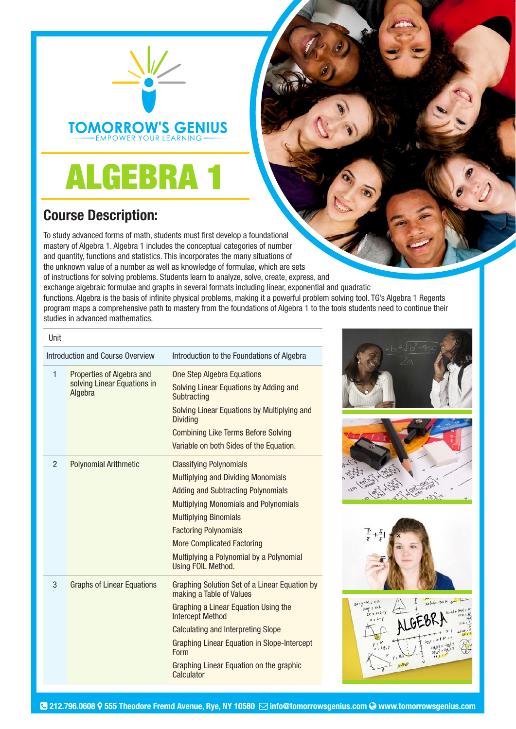

**TOMORROW'S GENIUS EMPOWER YOUR LEARNING** 

## ALGEBRA 1

## Course Description:

To study advanced forms of math, students must first develop a foundational mastery of Algebra 1. Algebra 1 includes the conceptual categories of number and quantity, functions and statistics. This incorporates the many situations of the unknown value of a number as well as knowledge of formulae, which are sets of instructions for solving problems. Students learn to analyze, solve, create, express, and exchange algebraic formulae and graphs in several formats including linear, exponential and quadratic functions. Algebra is the basis of infinite physical problems, making it a powerful problem solving tool. TG's Algebra 1 Regents program maps a comprehensive path to mastery from the foundations of Algebra 1 to the tools students need to continue their studies in advanced mathematics.

| Unit                             |                                                                     |                                                                                  |
|----------------------------------|---------------------------------------------------------------------|----------------------------------------------------------------------------------|
| Introduction and Course Overview |                                                                     | Introduction to the Foundations of Algebra                                       |
| 1                                | Properties of Algebra and<br>solving Linear Equations in<br>Algebra | <b>One Step Algebra Equations</b>                                                |
|                                  |                                                                     | Solving Linear Equations by Adding and<br>Subtracting                            |
|                                  |                                                                     | Solving Linear Equations by Multiplying and<br><b>Dividing</b>                   |
|                                  |                                                                     | <b>Combining Like Terms Before Solving</b>                                       |
|                                  |                                                                     | Variable on both Sides of the Equation.                                          |
| $\overline{2}$                   | <b>Polynomial Arithmetic</b>                                        | <b>Classifying Polynomials</b>                                                   |
|                                  |                                                                     | <b>Multiplying and Dividing Monomials</b>                                        |
|                                  |                                                                     | <b>Adding and Subtracting Polynomials</b>                                        |
|                                  |                                                                     | <b>Multiplying Monomials and Polynomials</b>                                     |
|                                  |                                                                     | <b>Multiplying Binomials</b>                                                     |
|                                  |                                                                     | <b>Factoring Polynomials</b>                                                     |
|                                  |                                                                     | <b>More Complicated Factoring</b>                                                |
|                                  |                                                                     | Multiplying a Polynomial by a Polynomial<br>Using FOIL Method.                   |
| 3                                | <b>Graphs of Linear Equations</b>                                   | <b>Graphing Solution Set of a Linear Equation by</b><br>making a Table of Values |
|                                  |                                                                     | Graphing a Linear Equation Using the<br><b>Intercept Method</b>                  |
|                                  |                                                                     | <b>Calculating and Interpreting Slope</b>                                        |
|                                  |                                                                     | Graphing Linear Equation in Slope-Intercept<br>Form                              |
|                                  |                                                                     | Graphing Linear Equation on the graphic<br>Calculator                            |